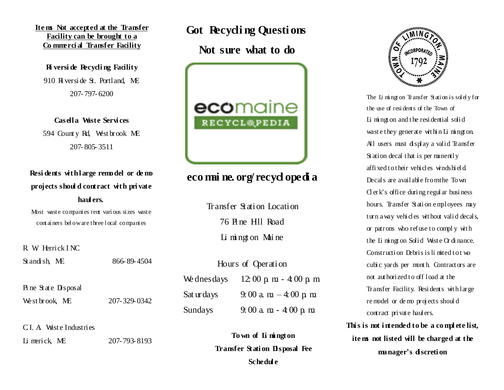Items Not accepted at the Transfer Facility can be brought to a Commercial Transfer Facility

**R** versi de Recycling Facility 910 R versi de St. Portland. ME 207-797-6200

Casella Wiste Services 594 County Rd, Westbrook ME 207-805-3511

Residents with large remodel or de mo projects should contract with private haul ers.

Most waste companies rent various sizes waste containers below are three local companies

R W Herrick INC St andi sh ME 866-89-4504

West brook ME 207-329-0342

C.I. A West e Industries

Pine State Disposal

Li merick ME

207-793-8193

Got Recycling Questions

Not sure what to do



# eco mai ne. org/recyclopedia

Transfer Station Location 76 Pine H<sub>11</sub> Road Li mingt on Maine

| Hours of Operation |                                                    |
|--------------------|----------------------------------------------------|
|                    | We dnesdays $12:00 \text{ p m} - 4:00 \text{ p m}$ |
| Sat ur da ys       | 9:00 a m $-4.00$ p m                               |
| Sundays            | $9:00$ a m $-4:00$ p m                             |

To wn of Limington **Transfer Station Disposal Fee** Schedul e



The Limington Transfer Station is solely for the use of residents of the Town of Li mingt on and the residential solid waste they generate within Limington. All users must display a valid Transfer Station decal that is per manently affixed to their vehicles windshield Decals are available from the Town  $Q$  erk's office during regular business hours. Transfer Station employees may turn a way vehicles without valid decals, or patrons who refuse to comply with the Limington Solid Waste Ordinance. Construction Debris is limited to two cubic yards per month. Contractors are not authorized to off load at the Transfer Facility. Residents with large remodel or demo projects should contract private haulers.

This is not intended to be a complete list, itens not listed will be charged at the manager's discretion